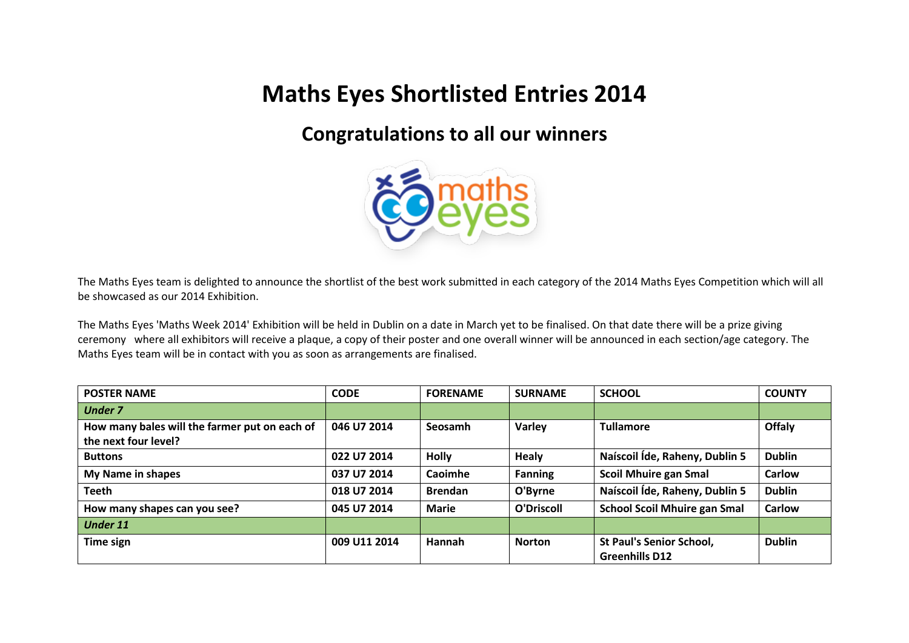## **Maths Eyes Shortlisted Entries 2014**

## **Congratulations to all our winners**



The Maths Eyes team is delighted to announce the shortlist of the best work submitted in each category of the 2014 Maths Eyes Competition which will all be showcased as our 2014 Exhibition.

The Maths Eyes 'Maths Week 2014' Exhibition will be held in Dublin on a date in March yet to be finalised. On that date there will be a prize giving ceremony where all exhibitors will receive a plaque, a copy of their poster and one overall winner will be announced in each section/age category. The Maths Eyes team will be in contact with you as soon as arrangements are finalised.

| <b>POSTER NAME</b>                            | <b>CODE</b>  | <b>FORENAME</b> | <b>SURNAME</b> | <b>SCHOOL</b>                       | <b>COUNTY</b> |
|-----------------------------------------------|--------------|-----------------|----------------|-------------------------------------|---------------|
| <b>Under 7</b>                                |              |                 |                |                                     |               |
| How many bales will the farmer put on each of | 046 U7 2014  | Seosamh         | Varley         | <b>Tullamore</b>                    | Offaly        |
| the next four level?                          |              |                 |                |                                     |               |
| <b>Buttons</b>                                | 022 U7 2014  | <b>Holly</b>    | <b>Healy</b>   | Naíscoil Íde, Raheny, Dublin 5      | <b>Dublin</b> |
| My Name in shapes                             | 037 U7 2014  | Caoimhe         | <b>Fanning</b> | <b>Scoil Mhuire gan Smal</b>        | <b>Carlow</b> |
| <b>Teeth</b>                                  | 018 U7 2014  | <b>Brendan</b>  | O'Byrne        | Naíscoil Íde, Raheny, Dublin 5      | <b>Dublin</b> |
| How many shapes can you see?                  | 045 U7 2014  | <b>Marie</b>    | O'Driscoll     | <b>School Scoil Mhuire gan Smal</b> | <b>Carlow</b> |
| <b>Under 11</b>                               |              |                 |                |                                     |               |
| Time sign                                     | 009 U11 2014 | Hannah          | <b>Norton</b>  | <b>St Paul's Senior School,</b>     | <b>Dublin</b> |
|                                               |              |                 |                | <b>Greenhills D12</b>               |               |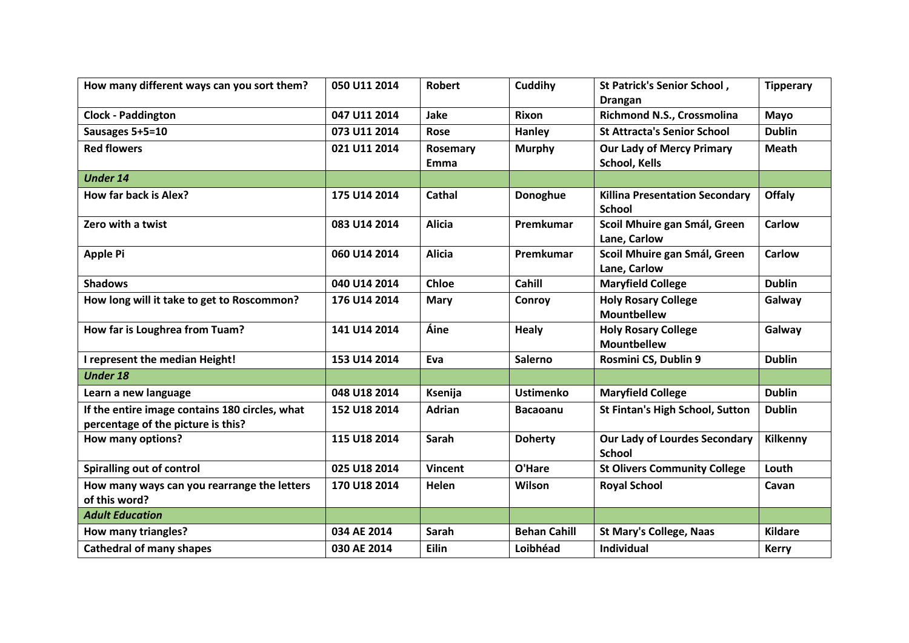| How many different ways can you sort them?                                           | 050 U11 2014 | <b>Robert</b>    | Cuddihy             | St Patrick's Senior School,<br><b>Drangan</b>            | <b>Tipperary</b> |
|--------------------------------------------------------------------------------------|--------------|------------------|---------------------|----------------------------------------------------------|------------------|
| <b>Clock - Paddington</b>                                                            | 047 U11 2014 | Jake             | <b>Rixon</b>        | Richmond N.S., Crossmolina                               | Mayo             |
| Sausages 5+5=10                                                                      | 073 U11 2014 | Rose             | Hanley              | <b>St Attracta's Senior School</b>                       | <b>Dublin</b>    |
| <b>Red flowers</b>                                                                   | 021 U11 2014 | Rosemary<br>Emma | <b>Murphy</b>       | <b>Our Lady of Mercy Primary</b><br><b>School, Kells</b> | <b>Meath</b>     |
| <b>Under 14</b>                                                                      |              |                  |                     |                                                          |                  |
| How far back is Alex?                                                                | 175 U14 2014 | Cathal           | Donoghue            | <b>Killina Presentation Secondary</b><br><b>School</b>   | <b>Offaly</b>    |
| Zero with a twist                                                                    | 083 U14 2014 | <b>Alicia</b>    | Premkumar           | Scoil Mhuire gan Smál, Green<br>Lane, Carlow             | <b>Carlow</b>    |
| <b>Apple Pi</b>                                                                      | 060 U14 2014 | <b>Alicia</b>    | Premkumar           | Scoil Mhuire gan Smál, Green<br>Lane, Carlow             | <b>Carlow</b>    |
| <b>Shadows</b>                                                                       | 040 U14 2014 | <b>Chloe</b>     | <b>Cahill</b>       | <b>Maryfield College</b>                                 | <b>Dublin</b>    |
| How long will it take to get to Roscommon?                                           | 176 U14 2014 | <b>Mary</b>      | Conroy              | <b>Holy Rosary College</b><br><b>Mountbellew</b>         | Galway           |
| How far is Loughrea from Tuam?                                                       | 141 U14 2014 | Áine             | <b>Healy</b>        | <b>Holy Rosary College</b><br><b>Mountbellew</b>         | Galway           |
| I represent the median Height!                                                       | 153 U14 2014 | Eva              | <b>Salerno</b>      | Rosmini CS, Dublin 9                                     | <b>Dublin</b>    |
| <b>Under 18</b>                                                                      |              |                  |                     |                                                          |                  |
| Learn a new language                                                                 | 048 U18 2014 | Ksenija          | <b>Ustimenko</b>    | <b>Maryfield College</b>                                 | <b>Dublin</b>    |
| If the entire image contains 180 circles, what<br>percentage of the picture is this? | 152 U18 2014 | <b>Adrian</b>    | <b>Bacaoanu</b>     | <b>St Fintan's High School, Sutton</b>                   | <b>Dublin</b>    |
| How many options?                                                                    | 115 U18 2014 | Sarah            | <b>Doherty</b>      | <b>Our Lady of Lourdes Secondary</b><br><b>School</b>    | Kilkenny         |
| Spiralling out of control                                                            | 025 U18 2014 | <b>Vincent</b>   | O'Hare              | <b>St Olivers Community College</b>                      | Louth            |
| How many ways can you rearrange the letters<br>of this word?                         | 170 U18 2014 | Helen            | Wilson              | <b>Royal School</b>                                      | Cavan            |
| <b>Adult Education</b>                                                               |              |                  |                     |                                                          |                  |
| How many triangles?                                                                  | 034 AE 2014  | Sarah            | <b>Behan Cahill</b> | <b>St Mary's College, Naas</b>                           | <b>Kildare</b>   |
| <b>Cathedral of many shapes</b>                                                      | 030 AE 2014  | Eilin            | Loibhéad            | Individual                                               | <b>Kerry</b>     |